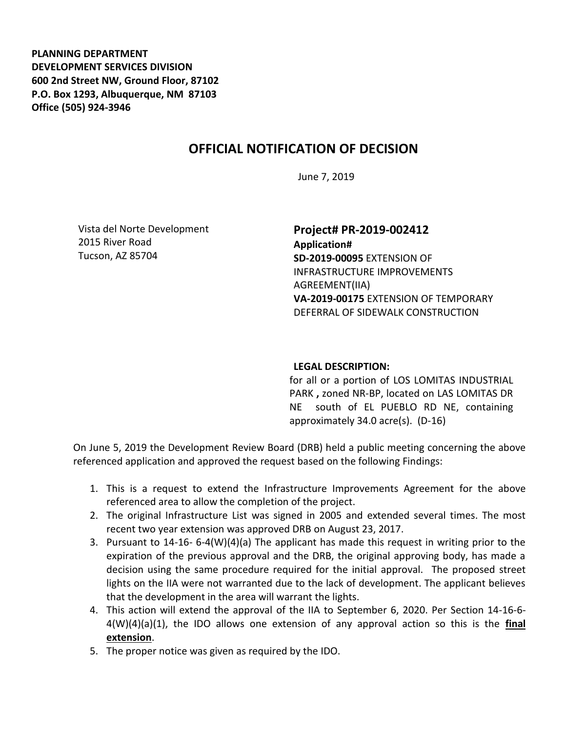**PLANNING DEPARTMENT DEVELOPMENT SERVICES DIVISION 600 2nd Street NW, Ground Floor, 87102 P.O. Box 1293, Albuquerque, NM 87103 Office (505) 924-3946** 

## **OFFICIAL NOTIFICATION OF DECISION**

June 7, 2019

Vista del Norte Development 2015 River Road Tucson, AZ 85704

**Project# PR-2019-002412 Application# SD-2019-00095** EXTENSION OF INFRASTRUCTURE IMPROVEMENTS AGREEMENT(IIA) **VA-2019-00175** EXTENSION OF TEMPORARY DEFERRAL OF SIDEWALK CONSTRUCTION

## **LEGAL DESCRIPTION:**

for all or a portion of LOS LOMITAS INDUSTRIAL PARK **,** zoned NR-BP, located on LAS LOMITAS DR NE south of EL PUEBLO RD NE, containing approximately 34.0 acre(s). (D-16)

On June 5, 2019 the Development Review Board (DRB) held a public meeting concerning the above referenced application and approved the request based on the following Findings:

- 1. This is a request to extend the Infrastructure Improvements Agreement for the above referenced area to allow the completion of the project.
- 2. The original Infrastructure List was signed in 2005 and extended several times. The most recent two year extension was approved DRB on August 23, 2017.
- 3. Pursuant to 14-16- 6-4(W)(4)(a) The applicant has made this request in writing prior to the expiration of the previous approval and the DRB, the original approving body, has made a decision using the same procedure required for the initial approval. The proposed street lights on the IIA were not warranted due to the lack of development. The applicant believes that the development in the area will warrant the lights.
- 4. This action will extend the approval of the IIA to September 6, 2020. Per Section 14-16-6- 4(W)(4)(a)(1), the IDO allows one extension of any approval action so this is the **final extension**.
- 5. The proper notice was given as required by the IDO.